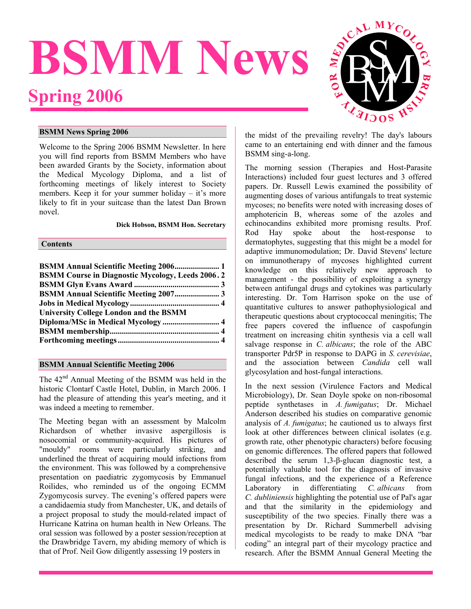# <span id="page-0-0"></span>**BSMM News Spring 2006**



# **BSMM News Spring 2006**

Welcome to the Spring 2006 BSMM Newsletter. In here you will find reports from BSMM Members who have been awarded Grants by the Society, information about the Medical Mycology Diploma, and a list of forthcoming meetings of likely interest to Society members. Keep it for your summer holiday – it's more likely to fit in your suitcase than the latest Dan Brown novel.

**Dick Hobson, BSMM Hon. Secretary**

### **Contents**

| <b>BSMM Course in Diagnostic Mycology, Leeds 2006.2</b> |  |
|---------------------------------------------------------|--|
|                                                         |  |
| <b>BSMM Annual Scientific Meeting 2007 3</b>            |  |
|                                                         |  |
| <b>University College London and the BSMM</b>           |  |
|                                                         |  |
|                                                         |  |
|                                                         |  |

# **BSMM Annual Scientific Meeting 2006**

The  $42<sup>nd</sup>$  Annual Meeting of the BSMM was held in the historic Clontarf Castle Hotel, Dublin, in March 2006. I had the pleasure of attending this year's meeting, and it was indeed a meeting to remember.

The Meeting began with an assessment by Malcolm Richardson of whether invasive aspergillosis is nosocomial or community-acquired. His pictures of "mouldy" rooms were particularly striking, and underlined the threat of acquiring mould infections from the environment. This was followed by a comprehensive presentation on paediatric zygomycosis by Emmanuel Roilides, who reminded us of the ongoing ECMM Zygomycosis survey. The evening's offered papers were a candidaemia study from Manchester, UK, and details of a project proposal to study the mould-related impact of Hurricane Katrina on human health in New Orleans. The oral session was followed by a poster session/reception at the Drawbridge Tavern, my abiding memory of which is that of Prof. Neil Gow diligently assessing 19 posters in

the midst of the prevailing revelry! The day's labours came to an entertaining end with dinner and the famous BSMM sing-a-long.

The morning session (Therapies and Host-Parasite Interactions) included four guest lectures and 3 offered papers. Dr. Russell Lewis examined the possibility of augmenting doses of various antifungals to treat systemic mycoses; no benefits were noted with increasing doses of amphotericin B, whereas some of the azoles and echinocandins exhibited more promisng results. Prof. Rod Hay spoke about the host-response to dermatophytes, suggesting that this might be a model for adaptive immunomodulation; Dr. David Stevens' lecture on immunotherapy of mycoses highlighted current knowledge on this relatively new approach to management - the possibility of exploiting a synergy between antifungal drugs and cytokines was particularly interesting. Dr. Tom Harrison spoke on the use of quantitative cultures to answer pathophysiological and therapeutic questions about cryptococcal meningitis; The free papers covered the influence of caspofungin treatment on increasing chitin synthesis via a cell wall salvage response in *C. albicans*; the role of the ABC transporter Pdr5P in response to DAPG in *S. cerevisiae*, and the association between *Candida* cell wall glycosylation and host-fungal interactions.

In the next session (Virulence Factors and Medical Microbiology), Dr. Sean Doyle spoke on non-ribosomal peptide synthetases in *A. fumigatus*; Dr. Michael Anderson described his studies on comparative genomic analysis of *A. fumigatus*; he cautioned us to always first look at other differences between clinical isolates (e.g. growth rate, other phenotypic characters) before focusing on genomic differences. The offered papers that followed described the serum 1,3-β-glucan diagnostic test, a potentially valuable tool for the diagnosis of invasive fungal infections, and the experience of a Reference Laboratory in differentiating *C. albicans* from *C. dubliniensis* highlighting the potential use of Pal's agar and that the similarity in the epidemiology and susceptibility of the two species. Finally there was a presentation by Dr. Richard Summerbell advising medical mycologists to be ready to make DNA "bar coding" an integral part of their mycology practice and research. After the BSMM Annual General Meeting the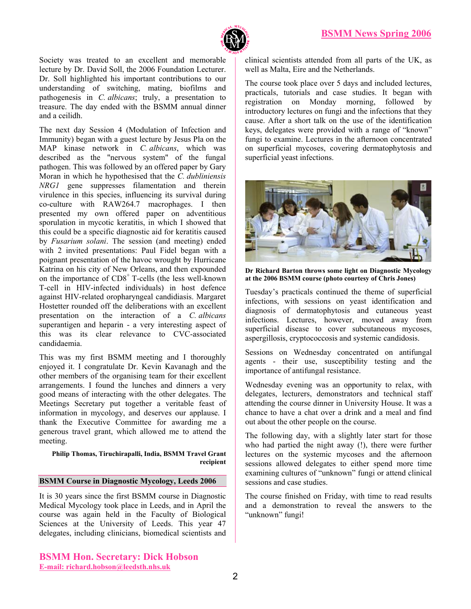

<span id="page-1-0"></span>Society was treated to an excellent and memorable lecture by Dr. David Soll, the 2006 Foundation Lecturer. Dr. Soll highlighted his important contributions to our understanding of switching, mating, biofilms and pathogenesis in *C. albicans*; truly, a presentation to treasure. The day ended with the BSMM annual dinner and a ceilidh.

The next day Session 4 (Modulation of Infection and Immunity) began with a guest lecture by Jesus Pla on the MAP kinase network in *C. albicans*, which was described as the "nervous system" of the fungal pathogen. This was followed by an offered paper by Gary Moran in which he hypothesised that the *C. dubliniensis NRG1* gene suppresses filamentation and therein virulence in this species, influencing its survival during co-culture with RAW264.7 macrophages. I then presented my own offered paper on adventitious sporulation in mycotic keratitis, in which I showed that this could be a specific diagnostic aid for keratitis caused by *Fusarium solani*. The session (and meeting) ended with 2 invited presentations: Paul Fidel began with a poignant presentation of the havoc wrought by Hurricane Katrina on his city of New Orleans, and then expounded on the importance of  $CDS<sup>+</sup> T-cells$  (the less well-known T-cell in HIV-infected individuals) in host defence against HIV-related oropharyngeal candidiasis. Margaret Hostetter rounded off the deliberations with an excellent presentation on the interaction of a *C. albicans* superantigen and heparin - a very interesting aspect of this was its clear relevance to CVC-associated candidaemia.

This was my first BSMM meeting and I thoroughly enjoyed it. I congratulate Dr. Kevin Kavanagh and the other members of the organising team for their excellent arrangements. I found the lunches and dinners a very good means of interacting with the other delegates. The Meetings Secretary put together a veritable feast of information in mycology, and deserves our applause. I thank the Executive Committee for awarding me a generous travel grant, which allowed me to attend the meeting.

**Philip Thomas, Tiruchirapalli, India, BSMM Travel Grant recipient** 

### **BSMM Course in Diagnostic Mycology, Leeds 2006**

It is 30 years since the first BSMM course in Diagnostic Medical Mycology took place in Leeds, and in April the course was again held in the Faculty of Biological Sciences at the University of Leeds. This year 47 delegates, including clinicians, biomedical scientists and clinical scientists attended from all parts of the UK, as well as Malta, Eire and the Netherlands.

The course took place over 5 days and included lectures, practicals, tutorials and case studies. It began with registration on Monday morning, followed by introductory lectures on fungi and the infections that they cause. After a short talk on the use of the identification keys, delegates were provided with a range of "known" fungi to examine. Lectures in the afternoon concentrated on superficial mycoses, covering dermatophytosis and superficial yeast infections.



**Dr Richard Barton throws some light on Diagnostic Mycology at the 2006 BSMM course (photo courtesy of Chris Jones)** 

Tuesday's practicals continued the theme of superficial infections, with sessions on yeast identification and diagnosis of dermatophytosis and cutaneous yeast infections. Lectures, however, moved away from superficial disease to cover subcutaneous mycoses, aspergillosis, cryptococcosis and systemic candidosis.

Sessions on Wednesday concentrated on antifungal agents - their use, susceptibility testing and the importance of antifungal resistance.

Wednesday evening was an opportunity to relax, with delegates, lecturers, demonstrators and technical staff attending the course dinner in University House. It was a chance to have a chat over a drink and a meal and find out about the other people on the course.

The following day, with a slightly later start for those who had partied the night away (!), there were further lectures on the systemic mycoses and the afternoon sessions allowed delegates to either spend more time examining cultures of "unknown" fungi or attend clinical sessions and case studies.

The course finished on Friday, with time to read results and a demonstration to reveal the answers to the "unknown" fungi!

**BSMM Hon. Secretary: Dick Hobson E-mail: richard.hobson@leedsth.nhs.uk**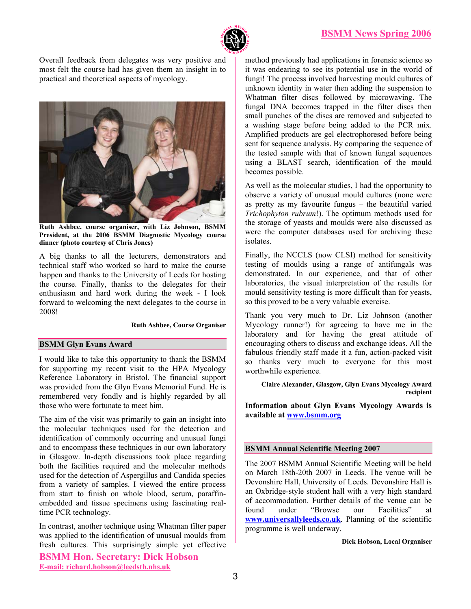

<span id="page-2-0"></span>Overall feedback from delegates was very positive and most felt the course had has given them an insight in to practical and theoretical aspects of mycology.



**Ruth Ashbee, course organiser, with Liz Johnson, BSMM President, at the 2006 BSMM Diagnostic Mycology course dinner (photo courtesy of Chris Jones)**

A big thanks to all the lecturers, demonstrators and technical staff who worked so hard to make the course happen and thanks to the University of Leeds for hosting the course. Finally, thanks to the delegates for their enthusiasm and hard work during the week - I look forward to welcoming the next delegates to the course in 2008!

#### **Ruth Ashbee, Course Organiser**

### **BSMM Glyn Evans Award**

I would like to take this opportunity to thank the BSMM for supporting my recent visit to the HPA Mycology Reference Laboratory in Bristol. The financial support was provided from the Glyn Evans Memorial Fund. He is remembered very fondly and is highly regarded by all those who were fortunate to meet him.

The aim of the visit was primarily to gain an insight into the molecular techniques used for the detection and identification of commonly occurring and unusual fungi and to encompass these techniques in our own laboratory in Glasgow. In-depth discussions took place regarding both the facilities required and the molecular methods used for the detection of Aspergillus and Candida species from a variety of samples. I viewed the entire process from start to finish on whole blood, serum, paraffinembedded and tissue specimens using fascinating realtime PCR technology.

In contrast, another technique using Whatman filter paper was applied to the identification of unusual moulds from fresh cultures. This surprisingly simple yet effective

**BSMM Hon. Secretary: Dick Hobson E-mail: richard.hobson@leedsth.nhs.uk**

method previously had applications in forensic science so it was endearing to see its potential use in the world of fungi! The process involved harvesting mould cultures of unknown identity in water then adding the suspension to Whatman filter discs followed by microwaving. The fungal DNA becomes trapped in the filter discs then small punches of the discs are removed and subjected to a washing stage before being added to the PCR mix. Amplified products are gel electrophoresed before being sent for sequence analysis. By comparing the sequence of the tested sample with that of known fungal sequences using a BLAST search, identification of the mould becomes possible.

As well as the molecular studies, I had the opportunity to observe a variety of unusual mould cultures (none were as pretty as my favourite fungus – the beautiful varied *Trichophyton rubrum*!). The optimum methods used for the storage of yeasts and moulds were also discussed as were the computer databases used for archiving these isolates.

Finally, the NCCLS (now CLSI) method for sensitivity testing of moulds using a range of antifungals was demonstrated. In our experience, and that of other laboratories, the visual interpretation of the results for mould sensitivity testing is more difficult than for yeasts, so this proved to be a very valuable exercise.

Thank you very much to Dr. Liz Johnson (another Mycology runner!) for agreeing to have me in the laboratory and for having the great attitude of encouraging others to discuss and exchange ideas. All the fabulous friendly staff made it a fun, action-packed visit so thanks very much to everyone for this most worthwhile experience.

**Claire Alexander, Glasgow, Glyn Evans Mycology Award recipient** 

**Information about Glyn Evans Mycology Awards is available at www.bsmm.org**

## **BSMM Annual Scientific Meeting 2007**

The 2007 BSMM Annual Scientific Meeting will be held on March 18th-20th 2007 in Leeds. The venue will be Devonshire Hall, University of Leeds. Devonshire Hall is an Oxbridge-style student hall with a very high standard of accommodation. Further details of the venue can be found under "Browse our Facilities" at **[www.universallyleeds.co.uk](http://www.universallyleeds.co.uk/)**. Planning of the scientific programme is well underway.

#### **Dick Hobson, Local Organiser**